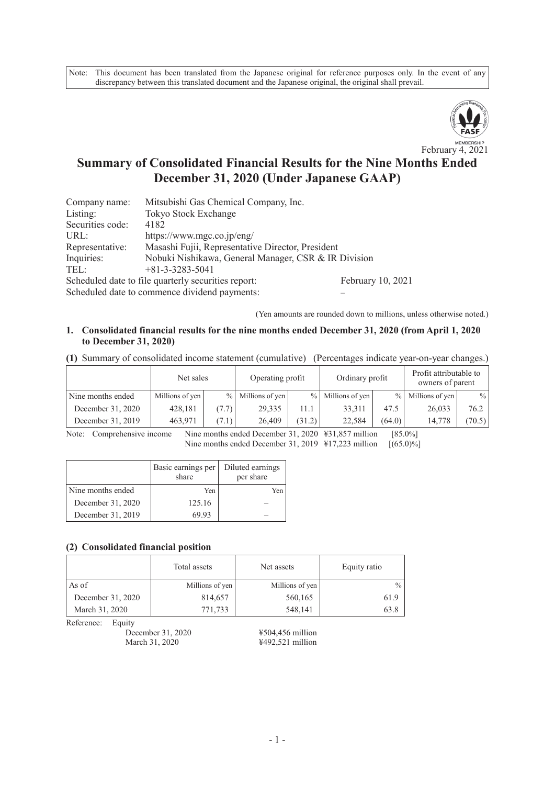Note: This document has been translated from the Japanese original for reference purposes only. In the event of any discrepancy between this translated document and the Japanese original, the original shall prevail.



February 4, 2021

# **Summary of Consolidated Financial Results for the Nine Months Ended December 31, 2020 (Under Japanese GAAP)**

| Company name:    | Mitsubishi Gas Chemical Company, Inc.                |                   |
|------------------|------------------------------------------------------|-------------------|
| Listing:         | Tokyo Stock Exchange                                 |                   |
| Securities code: | 4182                                                 |                   |
| URL:             | https://www.mgc.co.jp/eng/                           |                   |
| Representative:  | Masashi Fujii, Representative Director, President    |                   |
| Inquiries:       | Nobuki Nishikawa, General Manager, CSR & IR Division |                   |
| TEL:             | $+81-3-3283-5041$                                    |                   |
|                  | Scheduled date to file quarterly securities report:  | February 10, 2021 |
|                  |                                                      |                   |

Scheduled date to commence dividend payments:

(Yen amounts are rounded down to millions, unless otherwise noted.)

### **1. Consolidated financial results for the nine months ended December 31, 2020 (from April 1, 2020 to December 31, 2020)**

**(1)** Summary of consolidated income statement (cumulative) (Percentages indicate year-on-year changes.)

|                   | Net sales       |       | Operating profit  |        | Ordinary profit     |        | Profit attributable to<br>owners of parent |        |
|-------------------|-----------------|-------|-------------------|--------|---------------------|--------|--------------------------------------------|--------|
| Nine months ended | Millions of yen |       | % Millions of yen |        | $%$ Millions of yen |        | $%$ Millions of yen                        | $\%$   |
| December 31, 2020 | 428,181         | (7.7) | 29,335            | 11.1   | 33.311              | 47.5   | 26,033                                     | 76.2   |
| December 31, 2019 | 463,971         | (7.1) | 26,409            | (31.2) | 22.584              | (64.0) | 14.778                                     | (70.5) |

Note: Comprehensive income Nine months ended December 31, 2020 ¥31,857 million [85.0%]<br>Nine months ended December 31, 2019 ¥17,223 million [65.0)%] Nine months ended December 31, 2019  $\frac{1}{2}$  17,223 million

|                   | Basic earnings per<br>share | Diluted earnings<br>per share |
|-------------------|-----------------------------|-------------------------------|
| Nine months ended | Yen                         | Yen                           |
| December 31, 2020 | 125.16                      |                               |
| December 31, 2019 | 69.93                       |                               |

## **(2) Consolidated financial position**

|                   | Total assets    | Net assets      | Equity ratio  |  |
|-------------------|-----------------|-----------------|---------------|--|
| As of             | Millions of yen | Millions of yen | $\frac{0}{0}$ |  |
| December 31, 2020 | 814,657         | 560,165         | 61.9          |  |
| March 31, 2020    | 771,733         | 548,141         | 63.8          |  |

Reference: Equity

December 31, 2020 <br>
March 31, 2020 <br>
4492,521 million

¥492,521 million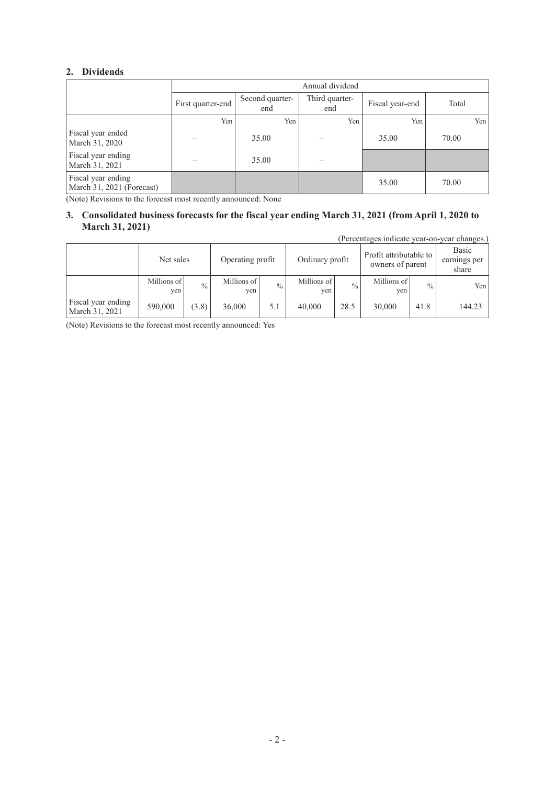## **2. Dividends**

|                                                 |                   | Annual dividend        |                       |                 |       |  |  |
|-------------------------------------------------|-------------------|------------------------|-----------------------|-----------------|-------|--|--|
|                                                 | First quarter-end | Second quarter-<br>end | Third quarter-<br>end | Fiscal year-end | Total |  |  |
|                                                 | Yen               | Yen                    | Yen                   | Yen             | Yen   |  |  |
| Fiscal year ended<br>March 31, 2020             |                   | 35.00                  |                       | 35.00           | 70.00 |  |  |
| Fiscal year ending<br>March 31, 2021            |                   | 35.00                  |                       |                 |       |  |  |
| Fiscal year ending<br>March 31, 2021 (Forecast) |                   |                        |                       | 35.00           | 70.00 |  |  |

(Note) Revisions to the forecast most recently announced: None

## **3. Consolidated business forecasts for the fiscal year ending March 31, 2021 (from April 1, 2020 to March 31, 2021)**

(Percentages indicate year-on-year changes.)

|                                      | Net sales          |               | Operating profit   |               | Ordinary profit    |               | Profit attributable to<br>owners of parent |               | Basic<br>earnings per<br>share |
|--------------------------------------|--------------------|---------------|--------------------|---------------|--------------------|---------------|--------------------------------------------|---------------|--------------------------------|
|                                      | Millions of<br>yen | $\frac{0}{0}$ | Millions of<br>yen | $\frac{0}{0}$ | Millions of<br>yen | $\frac{0}{0}$ | Millions of<br>yen                         | $\frac{0}{0}$ | Yen                            |
| Fiscal year ending<br>March 31, 2021 | 590,000            | (3.8)         | 36,000             | 5.1           | 40,000             | 28.5          | 30,000                                     | 41.8          | 144.23                         |

(Note) Revisions to the forecast most recently announced: Yes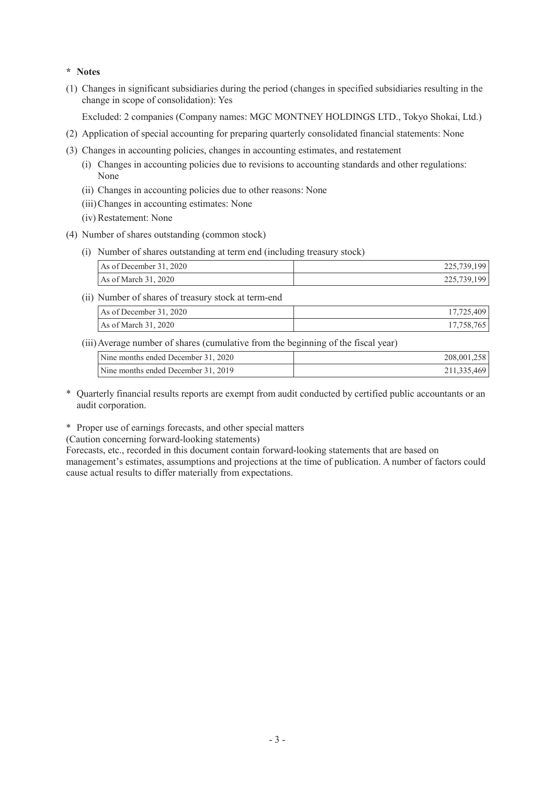## **\* Notes**

(1) Changes in significant subsidiaries during the period (changes in specified subsidiaries resulting in the change in scope of consolidation): Yes

Excluded: 2 companies (Company names: MGC MONTNEY HOLDINGS LTD., Tokyo Shokai, Ltd.)

- (2) Application of special accounting for preparing quarterly consolidated financial statements: None
- (3) Changes in accounting policies, changes in accounting estimates, and restatement
	- (i) Changes in accounting policies due to revisions to accounting standards and other regulations: None
	- (ii) Changes in accounting policies due to other reasons: None
	- (iii)Changes in accounting estimates: None
	- (iv) Restatement: None
- (4) Number of shares outstanding (common stock)
	- (i) Number of shares outstanding at term end (including treasury stock)

| As of December 31, 2020 | 225,739,199 |
|-------------------------|-------------|
| As of March 31, 2020    | 225,739,199 |

(ii) Number of shares of treasury stock at term-end

| As of December 31, 2020 |          |
|-------------------------|----------|
| As of March 31, 2020    | 17.758.7 |

(iii)Average number of shares (cumulative from the beginning of the fiscal year)

| Nine months ended December 31, 2020 | 208,001,258 |
|-------------------------------------|-------------|
| Nine months ended December 31, 2019 | 211,335,469 |

\* Quarterly financial results reports are exempt from audit conducted by certified public accountants or an audit corporation.

\* Proper use of earnings forecasts, and other special matters

(Caution concerning forward-looking statements)

Forecasts, etc., recorded in this document contain forward-looking statements that are based on management's estimates, assumptions and projections at the time of publication. A number of factors could cause actual results to differ materially from expectations.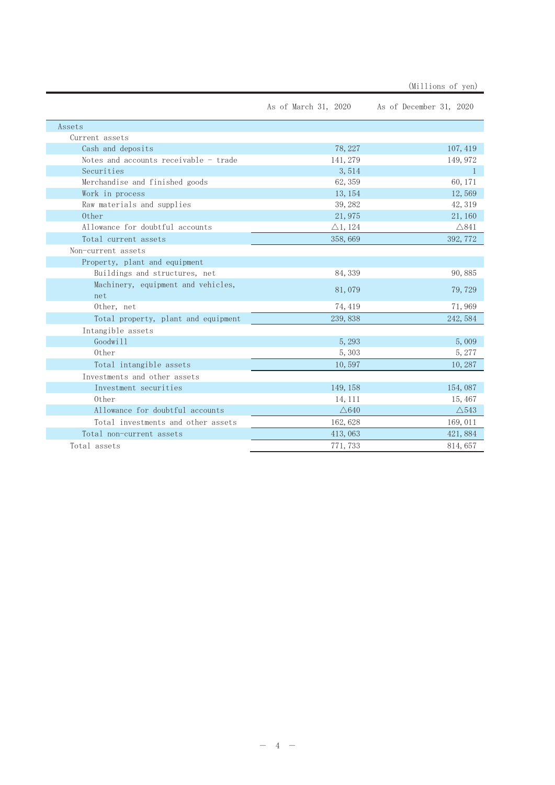|                                       |                    | As of March 31, 2020 As of December 31, 2020 |
|---------------------------------------|--------------------|----------------------------------------------|
| Assets                                |                    |                                              |
| Current assets                        |                    |                                              |
| Cash and deposits                     | 78, 227            | 107, 419                                     |
| Notes and accounts receivable - trade | 141, 279           | 149, 972                                     |
| Securities                            | 3,514              | $\mathbf{1}$                                 |
| Merchandise and finished goods        | 62, 359            | 60, 171                                      |
| Work in process                       | 13, 154            | 12,569                                       |
| Raw materials and supplies            | 39, 282            | 42, 319                                      |
| 0ther                                 | 21,975             | 21, 160                                      |
| Allowance for doubtful accounts       | $\triangle$ 1, 124 | $\triangle$ 841                              |
| Total current assets                  | 358,669            | 392, 772                                     |
| Non-current assets                    |                    |                                              |
| Property, plant and equipment         |                    |                                              |
| Buildings and structures, net         | 84, 339            | 90,885                                       |
| Machinery, equipment and vehicles,    | 81,079             | 79, 729                                      |
| net                                   |                    |                                              |
| Other, net                            | 74, 419            | 71,969                                       |
| Total property, plant and equipment   | 239, 838           | 242, 584                                     |
| Intangible assets                     |                    |                                              |
| Goodwill                              | 5,293              | 5,009                                        |
| Other                                 | 5,303              | 5, 277                                       |
| Total intangible assets               | 10,597             | 10,287                                       |
| Investments and other assets          |                    |                                              |
| Investment securities                 | 149, 158           | 154,087                                      |
| 0ther                                 | 14, 111            | 15, 467                                      |
| Allowance for doubtful accounts       | $\triangle 640$    | $\triangle$ 543                              |
| Total investments and other assets    | 162, 628           | 169, 011                                     |
| Total non-current assets              | 413,063            | 421,884                                      |
| Total assets                          | 771, 733           | 814, 657                                     |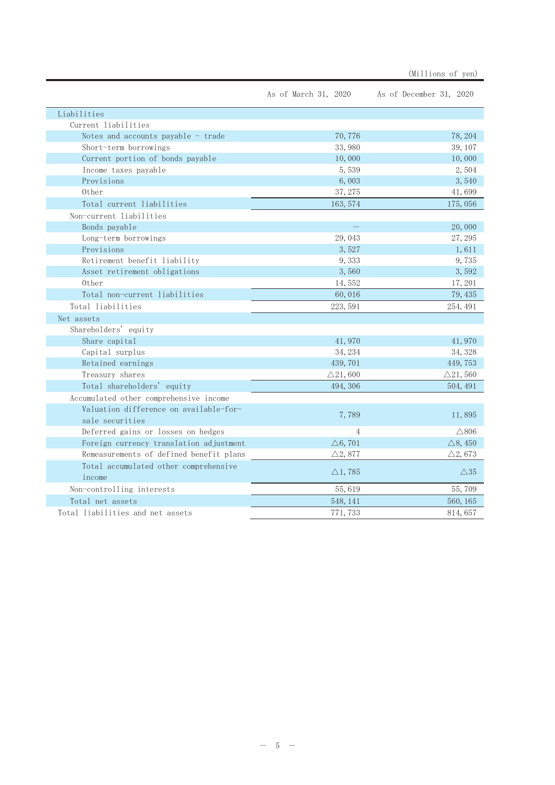|                                         | As of March 31, 2020 | As of December 31, 2020 |
|-----------------------------------------|----------------------|-------------------------|
| Liabilities                             |                      |                         |
| Current liabilities                     |                      |                         |
| Notes and accounts payable - trade      | 70,776               | 78, 204                 |
| Short-term borrowings                   | 33,980               | 39, 107                 |
| Current portion of bonds payable        | 10,000               | 10,000                  |
| Income taxes payable                    | 5,539                | 2,504                   |
| Provisions                              | 6,003                | 3,540                   |
| 0ther                                   | 37, 275              | 41,699                  |
| Total current liabilities               | 163, 574             | 175,056                 |
| Non-current liabilities                 |                      |                         |
| Bonds payable                           |                      | 20,000                  |
| Long-term borrowings                    | 29,043               | 27, 295                 |
| Provisions                              | 3,527                | 1,611                   |
| Retirement benefit liability            | 9,333                | 9,735                   |
| Asset retirement obligations            | 3,560                | 3,592                   |
| 0ther                                   | 14,552               | 17, 201                 |
| Total non-current liabilities           | 60,016               | 79, 435                 |
| Total liabilities                       | 223, 591             | 254, 491                |
| Net assets                              |                      |                         |
| Shareholders' equity                    |                      |                         |
| Share capital                           | 41,970               | 41,970                  |
| Capital surplus                         | 34, 234              | 34, 328                 |
| Retained earnings                       | 439, 701             | 449, 753                |
| Treasury shares                         | $\triangle$ 21,600   | $\triangle$ 21,560      |
| Total shareholders' equity              | 494, 306             | 504, 491                |
| Accumulated other comprehensive income  |                      |                         |
| Valuation difference on available-for-  | 7,789                | 11,895                  |
| sale securities                         |                      |                         |
| Deferred gains or losses on hedges      | $\overline{4}$       | $\triangle$ 806         |
| Foreign currency translation adjustment | $\triangle 6, 701$   | $\triangle$ 8, 450      |
| Remeasurements of defined benefit plans | $\triangle 2,877$    | $\triangle 2,673$       |
| Total accumulated other comprehensive   | $\triangle$ 1,785    | $\triangle 35$          |
| income                                  |                      |                         |
| Non-controlling interests               | 55,619               | 55,709                  |
| Total net assets                        | 548, 141             | 560, 165                |
| Total liabilities and net assets        | 771, 733             | 814, 657                |

(Millions of yen)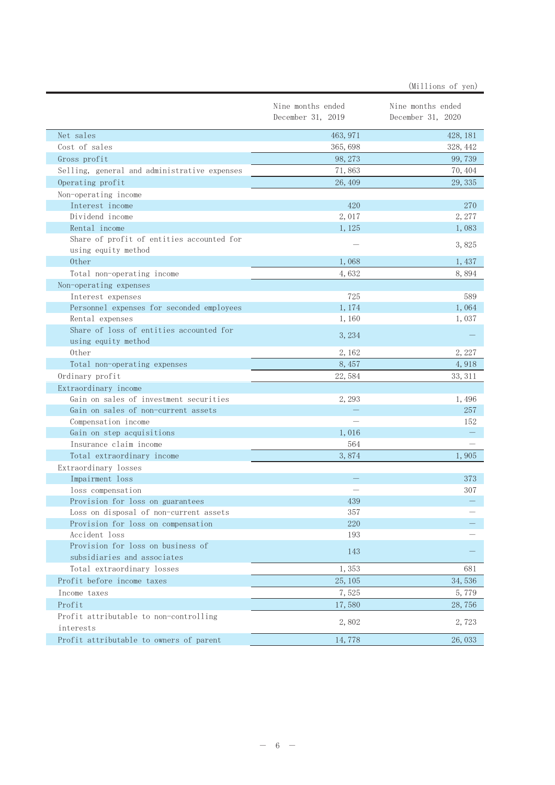|                                                                              |                                        | (Millions of yen)                      |
|------------------------------------------------------------------------------|----------------------------------------|----------------------------------------|
|                                                                              | Nine months ended<br>December 31, 2019 | Nine months ended<br>December 31, 2020 |
| Net sales                                                                    | 463, 971                               | 428, 181                               |
| Cost of sales                                                                | 365, 698                               | 328, 442                               |
| Gross profit                                                                 | 98, 273                                | 99, 739                                |
| Selling, general and administrative expenses                                 | 71,863                                 | 70, 404                                |
| Operating profit                                                             | 26, 409                                | 29, 335                                |
| Non-operating income                                                         |                                        |                                        |
| Interest income                                                              | 420                                    | 270                                    |
| Dividend income                                                              | 2,017                                  | 2,277                                  |
| Rental income                                                                | 1,125                                  | 1,083                                  |
| Share of profit of entities accounted for                                    |                                        |                                        |
| using equity method                                                          |                                        | 3,825                                  |
| 0ther                                                                        | 1,068                                  | 1,437                                  |
| Total non-operating income                                                   | 4,632                                  | 8,894                                  |
| Non-operating expenses                                                       |                                        |                                        |
| Interest expenses                                                            | 725                                    | 589                                    |
| Personnel expenses for seconded employees                                    | 1, 174                                 | 1,064                                  |
| Rental expenses                                                              | 1,160                                  | 1,037                                  |
| Share of loss of entities accounted for                                      | 3, 234                                 |                                        |
| using equity method                                                          |                                        |                                        |
| Other                                                                        | 2, 162                                 | 2, 227                                 |
| Total non-operating expenses                                                 | 8,457                                  | 4,918                                  |
| Ordinary profit                                                              | 22,584                                 | 33, 311                                |
| Extraordinary income                                                         |                                        |                                        |
| Gain on sales of investment securities                                       | 2, 293                                 | 1,496                                  |
| Gain on sales of non-current assets                                          |                                        | 257                                    |
| Compensation income                                                          |                                        | 152                                    |
| Gain on step acquisitions                                                    | 1,016                                  |                                        |
| Insurance claim income                                                       | 564                                    |                                        |
| Total extraordinary income                                                   | 3,874                                  | 1,905                                  |
| Extraordinary losses                                                         |                                        |                                        |
| Impairment loss                                                              |                                        | 373                                    |
| loss compensation                                                            |                                        | 307                                    |
| Provision for loss on guarantees                                             | 439<br>357                             |                                        |
| Loss on disposal of non-current assets<br>Provision for loss on compensation | 220                                    |                                        |
| Accident loss                                                                | 193                                    |                                        |
| Provision for loss on business of                                            |                                        |                                        |
| subsidiaries and associates                                                  | 143                                    |                                        |
| Total extraordinary losses                                                   | 1,353                                  | 681                                    |
| Profit before income taxes                                                   | 25, 105                                | 34,536                                 |
| Income taxes                                                                 | 7,525                                  | 5,779                                  |
| Profit                                                                       | 17,580                                 | 28,756                                 |
| Profit attributable to non-controlling                                       |                                        |                                        |
| interests                                                                    | 2,802                                  | 2,723                                  |
| Profit attributable to owners of parent                                      | 14,778                                 | 26, 033                                |
|                                                                              |                                        |                                        |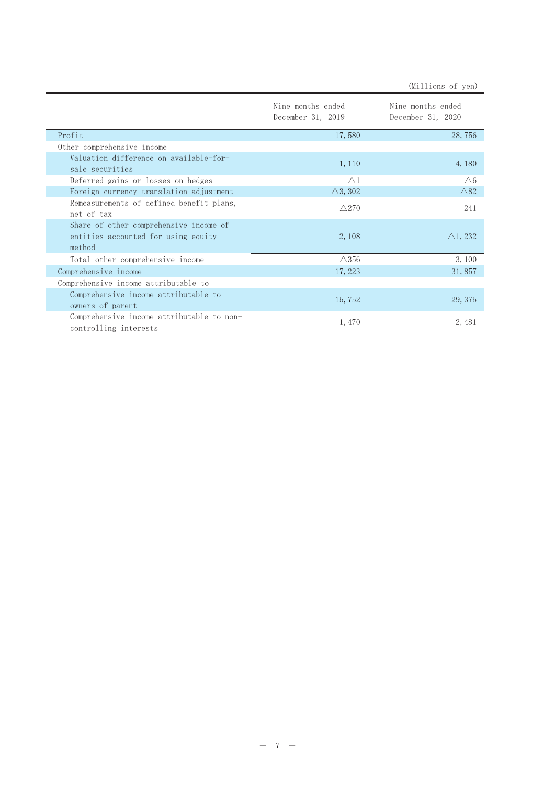|                                                                                         | Nine months ended<br>December 31, 2019 | Nine months ended<br>December 31, 2020 |
|-----------------------------------------------------------------------------------------|----------------------------------------|----------------------------------------|
| Profit                                                                                  | 17,580                                 | 28,756                                 |
| Other comprehensive income                                                              |                                        |                                        |
| Valuation difference on available-for-<br>sale securities                               | 1, 110                                 | 4, 180                                 |
| Deferred gains or losses on hedges                                                      | $\wedge$ 1                             | $\triangle 6$                          |
| Foreign currency translation adjustment                                                 | $\triangle$ 3, 302                     | $\triangle 82$                         |
| Remeasurements of defined benefit plans,<br>net of tax                                  | $\wedge$ 270                           | 241                                    |
| Share of other comprehensive income of<br>entities accounted for using equity<br>method | 2, 108                                 | $\triangle$ 1, 232                     |
| Total other comprehensive income                                                        | $\triangle$ 356                        | 3,100                                  |

(Millions of yen)

 $31,857$ 

29, 375

2,481

| $\triangle$ 356<br>17, 223<br>15,752<br>1,470 |
|-----------------------------------------------|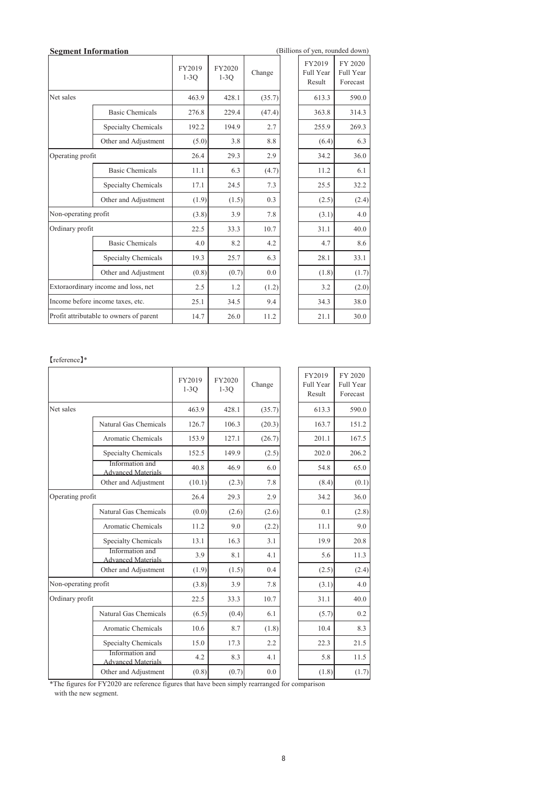| <b>Segment Information</b>          |                                         |                  |                  |        | (Billions of yen, rounded down) |                                  |
|-------------------------------------|-----------------------------------------|------------------|------------------|--------|---------------------------------|----------------------------------|
|                                     |                                         | FY2019<br>$1-3O$ | FY2020<br>$1-3O$ | Change | FY2019<br>Full Year<br>Result   | FY 2020<br>Full Year<br>Forecast |
| Net sales                           |                                         | 463.9            | 428.1            | (35.7) | 613.3                           | 590.0                            |
|                                     | <b>Basic Chemicals</b>                  | 276.8            | 229.4            | (47.4) | 363.8                           | 314.3                            |
|                                     | Specialty Chemicals                     | 192.2            | 194.9            | 2.7    | 255.9                           | 269.3                            |
|                                     | Other and Adjustment                    | (5.0)            | 3.8              | 8.8    | (6.4)                           | 6.3                              |
|                                     | Operating profit                        |                  | 29.3             | 2.9    | 34.2                            | 36.0                             |
|                                     | <b>Basic Chemicals</b>                  | 11.1             | 6.3              | (4.7)  | 11.2                            | 6.1                              |
|                                     | <b>Specialty Chemicals</b>              | 17.1             | 24.5             | 7.3    | 25.5                            | 32.2                             |
|                                     | Other and Adjustment                    | (1.9)            | (1.5)            | 0.3    | (2.5)                           | (2.4)                            |
| Non-operating profit                |                                         | (3.8)            | 3.9              | 7.8    | (3.1)                           | 4.0                              |
| Ordinary profit                     |                                         | 22.5             | 33.3             | 10.7   | 31.1                            | 40.0                             |
|                                     | <b>Basic Chemicals</b>                  | 4.0              | 8.2              | 4.2    | 4.7                             | 8.6                              |
|                                     | Specialty Chemicals                     | 19.3             | 25.7             | 6.3    | 28.1                            | 33.1                             |
|                                     | Other and Adjustment                    | (0.8)            | (0.7)            | 0.0    | (1.8)                           | (1.7)                            |
| Extoraordinary income and loss, net |                                         | 2.5              | 1.2              | (1.2)  | 3.2                             | (2.0)                            |
|                                     | Income before income taxes, etc.        | 25.1             | 34.5             | 9.4    | 34.3                            | 38.0                             |
|                                     | Profit attributable to owners of parent | 14.7             | 26.0             | 11.2   | 21.1                            | 30.0                             |
|                                     |                                         |                  |                  |        |                                 |                                  |

### 䛆reference䛇\*

|                      |                                              | FY2019<br>$1-3Q$ | FY2020<br>$1-3Q$ | Change | FY2019<br>Full Year<br>Result | FY 2020<br>Full Year<br>Forecast |
|----------------------|----------------------------------------------|------------------|------------------|--------|-------------------------------|----------------------------------|
| Net sales            |                                              | 463.9            | 428.1            | (35.7) | 613.3                         | 590.0                            |
|                      | Natural Gas Chemicals                        | 126.7            | 106.3            | (20.3) | 163.7                         | 151.2                            |
|                      | Aromatic Chemicals                           | 153.9            | 127.1            | (26.7) | 201.1                         | 167.5                            |
|                      | Specialty Chemicals                          | 152.5            | 149.9            | (2.5)  | 202.0                         | 206.2                            |
|                      | Information and<br><b>Advanced Materials</b> | 40.8             | 46.9             | 6.0    | 54.8                          | 65.0                             |
|                      | Other and Adjustment                         | (10.1)           | (2.3)            | 7.8    | (8.4)                         | (0.1)                            |
| Operating profit     |                                              | 26.4             | 29.3             | 2.9    | 34.2                          | 36.0                             |
|                      | Natural Gas Chemicals                        | (0.0)            | (2.6)            | (2.6)  | 0.1                           | (2.8)                            |
|                      | Aromatic Chemicals                           | 11.2             | 9.0              | (2.2)  | 11.1                          | 9.0                              |
|                      | <b>Specialty Chemicals</b>                   | 13.1             | 16.3             | 3.1    | 19.9                          | 20.8                             |
|                      | Information and<br><b>Advanced Materials</b> | 3.9              | 8.1              | 4.1    | 5.6                           | 11.3                             |
|                      | Other and Adjustment                         | (1.9)            | (1.5)            | 0.4    | (2.5)                         | (2.4)                            |
| Non-operating profit |                                              | (3.8)            | 3.9              | 7.8    | (3.1)                         | 4.0                              |
| Ordinary profit      |                                              | 22.5             | 33.3             | 10.7   | 31.1                          | 40.0                             |
|                      | Natural Gas Chemicals                        | (6.5)            | (0.4)            | 6.1    | (5.7)                         | 0.2                              |
|                      | Aromatic Chemicals                           | 10.6             | 8.7              | (1.8)  | 10.4                          | 8.3                              |
|                      | Specialty Chemicals                          | 15.0             | 17.3             | 2.2    | 22.3                          | 21.5                             |
|                      | Information and<br><b>Advanced Materials</b> | 4.2              | 8.3              | 4.1    | 5.8                           | 11.5                             |
|                      | Other and Adjustment                         | (0.8)            | (0.7)            | 0.0    | (1.8)                         | (1.7)                            |

\*The figures for FY2020 are reference figures that have been simply rearranged for comparison with the new segment.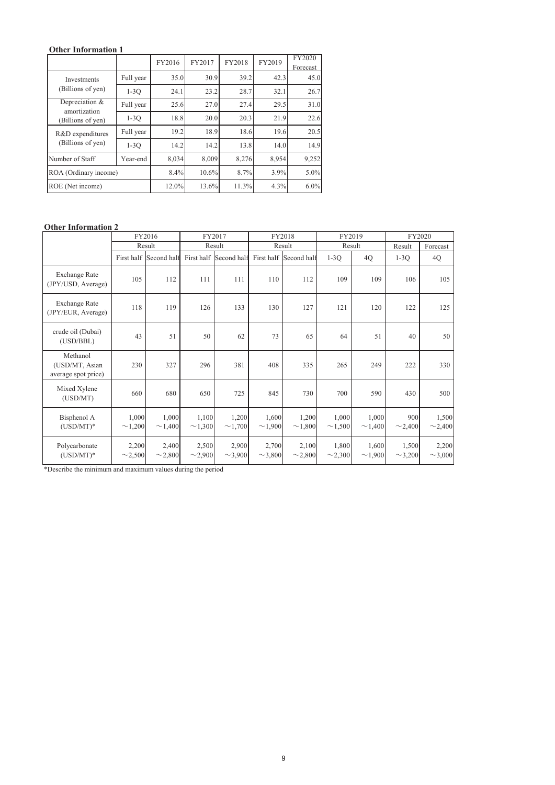## **Other Information 1**

|                                                     |           | FY2016 | FY2017 | FY2018 | FY2019 | FY2020<br>Forecast |
|-----------------------------------------------------|-----------|--------|--------|--------|--------|--------------------|
| <b>Investments</b><br>(Billions of yen)             | Full year | 35.0   | 30.9   | 39.2   | 42.3   | 45.0               |
|                                                     | $1-3O$    | 24.1   | 23.2   | 28.7   | 32.1   | 26.7               |
| Depreciation &<br>amortization<br>(Billions of yen) | Full year | 25.6   | 27.0   | 27.4   | 29.5   | 31.0               |
|                                                     | $1-3O$    | 18.8   | 20.0   | 20.3   | 21.9   | 22.6               |
| R&D expenditures<br>(Billions of yen)               | Full year | 19.2   | 18.9   | 18.6   | 19.6   | 20.5               |
|                                                     | $1-3O$    | 14.2   | 14.2   | 13.8   | 14.0   | 14.9               |
| Number of Staff                                     | Year-end  | 8,034  | 8,009  | 8.276  | 8,954  | 9,252              |
| ROA (Ordinary income)                               |           | 8.4%   | 10.6%  | 8.7%   | 3.9%   | $5.0\%$            |
| ROE (Net income)                                    |           | 12.0%  | 13.6%  | 11.3%  | 4.3%   | $6.0\%$            |

#### **Other Information 2**

|                                                   |                       | FY2016                | FY2017                |                       |                       | FY2018                 | FY2019                |                       | FY2020                |                       |
|---------------------------------------------------|-----------------------|-----------------------|-----------------------|-----------------------|-----------------------|------------------------|-----------------------|-----------------------|-----------------------|-----------------------|
|                                                   |                       | Result                |                       | Result                | Result                |                        | Result                |                       | Result                | Forecast              |
|                                                   | First half            | Second half           | First half            | Second half           |                       | First half Second half | $1-3O$                | 4Q                    | $1-3O$                | 4Q                    |
| <b>Exchange Rate</b><br>(JPY/USD, Average)        | 105                   | 112                   | 111                   | 111                   | 110                   | 112                    | 109                   | 109                   | 106                   | 105                   |
| <b>Exchange Rate</b><br>(JPY/EUR, Average)        | 118                   | 119                   | 126                   | 133                   | 130                   | 127                    | 121                   | 120                   | 122                   | 125                   |
| crude oil (Dubai)<br>(USD/BBL)                    | 43                    | 51                    | 50                    | 62                    | 73                    | 65                     | 64                    | 51                    | 40                    | 50                    |
| Methanol<br>(USD/MT, Asian<br>average spot price) | 230                   | 327                   | 296                   | 381                   | 408                   | 335                    | 265                   | 249                   | 222                   | 330                   |
| Mixed Xylene<br>(USD/MT)                          | 660                   | 680                   | 650                   | 725                   | 845                   | 730                    | 700                   | 590                   | 430                   | 500                   |
| Bisphenol A<br>$(USD/MT)^*$                       | 1,000<br>$\sim$ 1,200 | 1,000<br>$\sim$ 1,400 | 1,100<br>$\sim$ 1,300 | 1,200<br>$\sim$ 1,700 | 1,600<br>$\sim$ 1,900 | 1,200<br>$\sim$ 1,800  | 1,000<br>$\sim$ 1,500 | 1,000<br>$\sim$ 1,400 | 900<br>$\sim$ 2,400   | 1,500<br>$\sim$ 2,400 |
| Polycarbonate<br>$(USD/MT)^*$                     | 2,200<br>$\sim$ 2,500 | 2,400<br>$\sim$ 2,800 | 2,500<br>$\sim$ 2,900 | 2,900<br>$\sim$ 3,900 | 2,700<br>$\sim$ 3,800 | 2,100<br>$\sim$ 2,800  | 1,800<br>$\sim$ 2,300 | 1,600<br>~1,900       | 1,500<br>$\sim$ 3,200 | 2,200<br>$\sim$ 3,000 |

\*Describe the minimum and maximum values during the period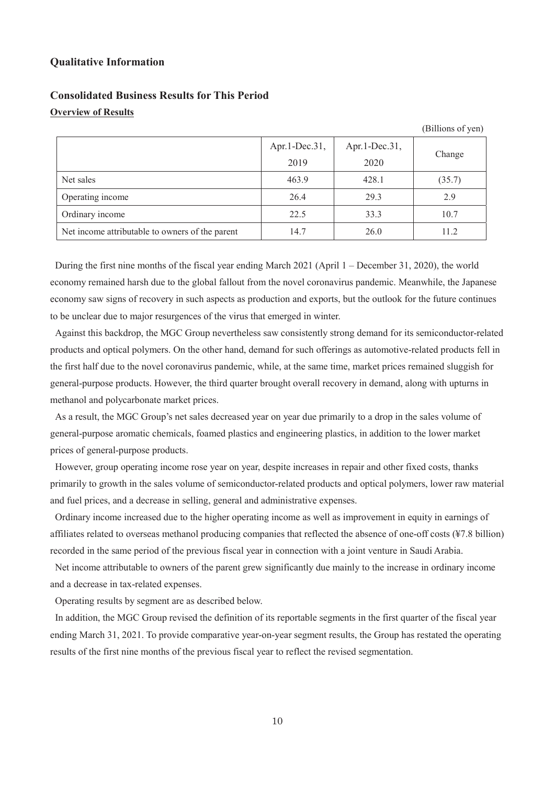#### **Qualitative Information**

## **Consolidated Business Results for This Period Overview of Results**

## Apr.1-Dec.31, 2019 Apr.1-Dec.31, 2020 Change Net sales (35.7) 463.9 428.1 (35.7) Operating income 26.4 29.3 2.9 Ordinary income  $\begin{array}{|c|c|c|c|c|c|c|c|c|} \hline \text{O} & \text{22.5} & \text{33.3} & \text{10.7} \ \hline \end{array}$ Net income attributable to owners of the parent 14.7 26.0 11.2

During the first nine months of the fiscal year ending March 2021 (April 1 – December 31, 2020), the world economy remained harsh due to the global fallout from the novel coronavirus pandemic. Meanwhile, the Japanese economy saw signs of recovery in such aspects as production and exports, but the outlook for the future continues to be unclear due to major resurgences of the virus that emerged in winter.

Against this backdrop, the MGC Group nevertheless saw consistently strong demand for its semiconductor-related products and optical polymers. On the other hand, demand for such offerings as automotive-related products fell in the first half due to the novel coronavirus pandemic, while, at the same time, market prices remained sluggish for general-purpose products. However, the third quarter brought overall recovery in demand, along with upturns in methanol and polycarbonate market prices.

As a result, the MGC Group's net sales decreased year on year due primarily to a drop in the sales volume of general-purpose aromatic chemicals, foamed plastics and engineering plastics, in addition to the lower market prices of general-purpose products.

However, group operating income rose year on year, despite increases in repair and other fixed costs, thanks primarily to growth in the sales volume of semiconductor-related products and optical polymers, lower raw material and fuel prices, and a decrease in selling, general and administrative expenses.

Ordinary income increased due to the higher operating income as well as improvement in equity in earnings of affiliates related to overseas methanol producing companies that reflected the absence of one-off costs (¥7.8 billion) recorded in the same period of the previous fiscal year in connection with a joint venture in Saudi Arabia.

Net income attributable to owners of the parent grew significantly due mainly to the increase in ordinary income and a decrease in tax-related expenses.

Operating results by segment are as described below.

In addition, the MGC Group revised the definition of its reportable segments in the first quarter of the fiscal year ending March 31, 2021. To provide comparative year-on-year segment results, the Group has restated the operating results of the first nine months of the previous fiscal year to reflect the revised segmentation.

(Billions of yen)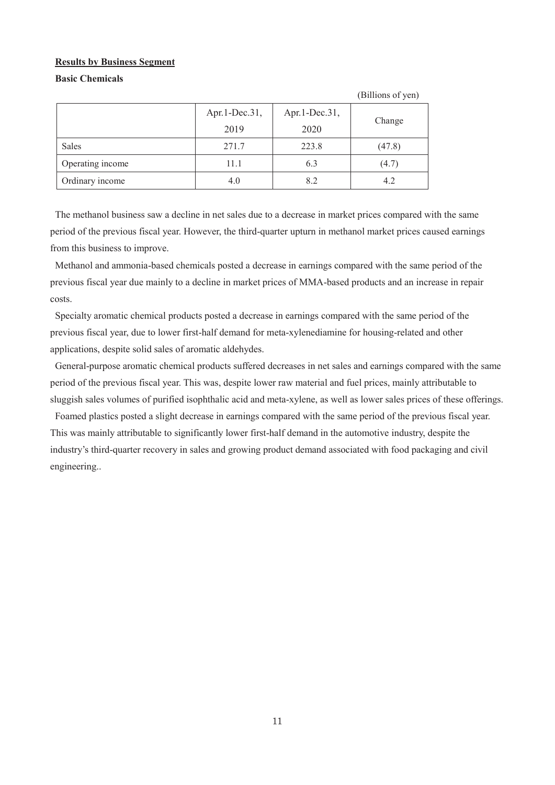#### **Results by Business Segment**

## **Basic Chemicals**

|                  |               |               | (Billions of yen) |  |
|------------------|---------------|---------------|-------------------|--|
|                  | Apr.1-Dec.31, | Apr.1-Dec.31, |                   |  |
|                  | 2019          | 2020          | Change            |  |
| Sales            | 271.7         | 223.8         | (47.8)            |  |
| Operating income | 11.1          | 6.3           | (4.7)             |  |
| Ordinary income  | 4.0           | 8.2           | 4.2               |  |

The methanol business saw a decline in net sales due to a decrease in market prices compared with the same period of the previous fiscal year. However, the third-quarter upturn in methanol market prices caused earnings from this business to improve.

Methanol and ammonia-based chemicals posted a decrease in earnings compared with the same period of the previous fiscal year due mainly to a decline in market prices of MMA-based products and an increase in repair costs.

Specialty aromatic chemical products posted a decrease in earnings compared with the same period of the previous fiscal year, due to lower first-half demand for meta-xylenediamine for housing-related and other applications, despite solid sales of aromatic aldehydes.

General-purpose aromatic chemical products suffered decreases in net sales and earnings compared with the same period of the previous fiscal year. This was, despite lower raw material and fuel prices, mainly attributable to sluggish sales volumes of purified isophthalic acid and meta-xylene, as well as lower sales prices of these offerings.

Foamed plastics posted a slight decrease in earnings compared with the same period of the previous fiscal year. This was mainly attributable to significantly lower first-half demand in the automotive industry, despite the industry's third-quarter recovery in sales and growing product demand associated with food packaging and civil engineering..